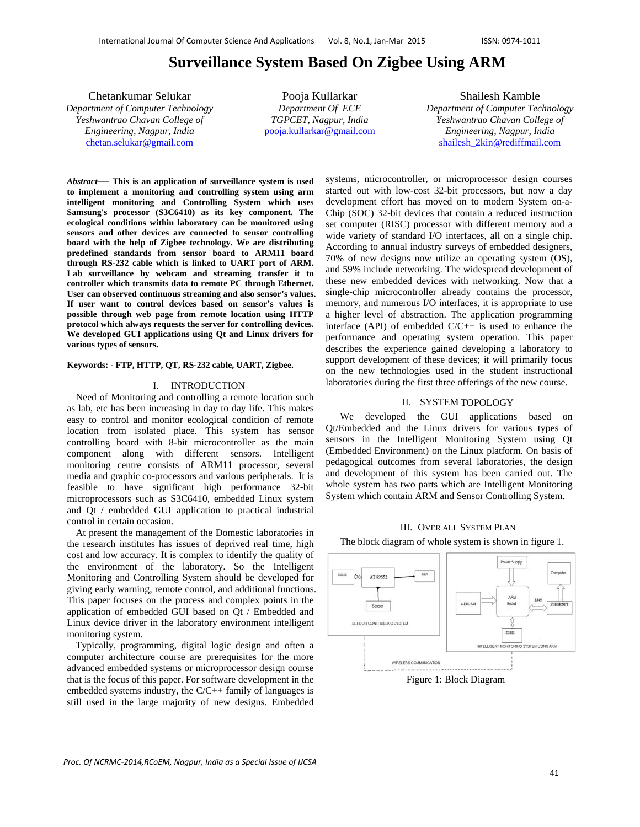# **Surveillance System Based On Zigbee Using ARM**

Chetankumar Selukar *Department of Computer Technology Yeshwantrao Chavan College of Engineering, Nagpur, India*  chetan.selukar@gmail.com

Pooja Kullarkar *Department Of ECE TGPCET, Nagpur, India*  pooja.kullarkar@gmail.com

Shailesh Kamble *Department of Computer Technology Yeshwantrao Chavan College of Engineering, Nagpur, India*  shailesh\_2kin@rediffmail.com

*Abstract*— **This is an application of surveillance system is used to implement a monitoring and controlling system using arm intelligent monitoring and Controlling System which uses Samsung's processor (S3C6410) as its key component. The ecological conditions within laboratory can be monitored using sensors and other devices are connected to sensor controlling board with the help of Zigbee technology. We are distributing predefined standards from sensor board to ARM11 board through RS-232 cable which is linked to UART port of ARM. Lab surveillance by webcam and streaming transfer it to controller which transmits data to remote PC through Ethernet. User can observed continuous streaming and also sensor's values. If user want to control devices based on sensor's values is possible through web page from remote location using HTTP protocol which always requests the server for controlling devices. We developed GUI applications using Qt and Linux drivers for various types of sensors.** 

#### **Keywords: - FTP, HTTP, QT, RS-232 cable, UART, Zigbee.**

## I. INTRODUCTION

Need of Monitoring and controlling a remote location such as lab, etc has been increasing in day to day life. This makes easy to control and monitor ecological condition of remote location from isolated place. This system has sensor controlling board with 8-bit microcontroller as the main component along with different sensors. Intelligent monitoring centre consists of ARM11 processor, several media and graphic co-processors and various peripherals. It is feasible to have significant high performance 32-bit microprocessors such as S3C6410, embedded Linux system and Qt / embedded GUI application to practical industrial control in certain occasion.

At present the management of the Domestic laboratories in the research institutes has issues of deprived real time, high cost and low accuracy. It is complex to identify the quality of the environment of the laboratory. So the Intelligent Monitoring and Controlling System should be developed for giving early warning, remote control, and additional functions. This paper focuses on the process and complex points in the application of embedded GUI based on Qt / Embedded and Linux device driver in the laboratory environment intelligent monitoring system.

Typically, programming, digital logic design and often a computer architecture course are prerequisites for the more advanced embedded systems or microprocessor design course that is the focus of this paper. For software development in the embedded systems industry, the  $C/C++$  family of languages is still used in the large majority of new designs. Embedded systems, microcontroller, or microprocessor design courses started out with low-cost 32-bit processors, but now a day development effort has moved on to modern System on-a-Chip (SOC) 32-bit devices that contain a reduced instruction set computer (RISC) processor with different memory and a wide variety of standard I/O interfaces, all on a single chip. According to annual industry surveys of embedded designers, 70% of new designs now utilize an operating system (OS), and 59% include networking. The widespread development of these new embedded devices with networking. Now that a single-chip microcontroller already contains the processor, memory, and numerous I/O interfaces, it is appropriate to use a higher level of abstraction. The application programming interface (API) of embedded C/C++ is used to enhance the performance and operating system operation. This paper describes the experience gained developing a laboratory to support development of these devices; it will primarily focus on the new technologies used in the student instructional laboratories during the first three offerings of the new course.

# II. SYSTEM TOPOLOGY

We developed the GUI applications based on Qt/Embedded and the Linux drivers for various types of sensors in the Intelligent Monitoring System using Qt (Embedded Environment) on the Linux platform. On basis of pedagogical outcomes from several laboratories, the design and development of this system has been carried out. The whole system has two parts which are Intelligent Monitoring System which contain ARM and Sensor Controlling System.

#### III. OVER ALL SYSTEM PLAN

The block diagram of whole system is shown in figure 1.

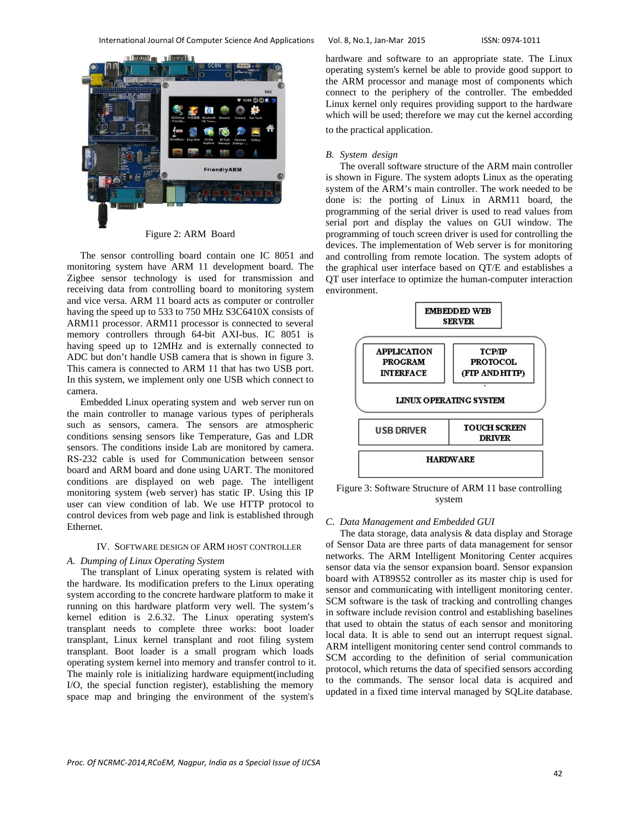

Figure 2: ARM Board

The sensor controlling board contain one IC 8051 and monitoring system have ARM 11 development board. The Zigbee sensor technology is used for transmission and receiving data from controlling board to monitoring system and vice versa. ARM 11 board acts as computer or controller having the speed up to 533 to 750 MHz S3C6410X consists of ARM11 processor. ARM11 processor is connected to several memory controllers through 64-bit AXI-bus. IC 8051 is having speed up to 12MHz and is externally connected to ADC but don't handle USB camera that is shown in figure 3. This camera is connected to ARM 11 that has two USB port. In this system, we implement only one USB which connect to camera. Embedded Linux operating system and web server run on

the main controller to manage various types of peripherals such as sensors, camera. The sensors are atmospheric conditions sensing sensors like Temperature, Gas and LDR sensors. The conditions inside Lab are monitored by camera. RS-232 cable is used for Communication between sensor board and ARM board and done using UART. The monitored conditions are displayed on web page. The intelligent monitoring system (web server) has static IP. Using this IP user can view condition of lab. We use HTTP protocol to control devices from web page and link is established through Ethernet.

## IV. SOFTWARE DESIGN OF ARM HOST CONTROLLER

## *A. Dumping of Linux Operating System*

The transplant of Linux operating system is related with the hardware. Its modification prefers to the Linux operating system according to the concrete hardware platform to make it running on this hardware platform very well. The system's kernel edition is 2.6.32. The Linux operating system's transplant needs to complete three works: boot loader transplant, Linux kernel transplant and root filing system transplant. Boot loader is a small program which loads operating system kernel into memory and transfer control to it. The mainly role is initializing hardware equipment(including I/O, the special function register), establishing the memory space map and bringing the environment of the system's

hardware and software to an appropriate state. The Linux operating system's kernel be able to provide good support to the ARM processor and manage most of components which connect to the periphery of the controller. The embedded Linux kernel only requires providing support to the hardware which will be used; therefore we may cut the kernel according to the practical application.

#### *B. System design*

The overall software structure of the ARM main controller is shown in Figure. The system adopts Linux as the operating system of the ARM's main controller. The work needed to be done is: the porting of Linux in ARM11 board, the programming of the serial driver is used to read values from serial port and display the values on GUI window. The programming of touch screen driver is used for controlling the devices. The implementation of Web server is for monitoring and controlling from remote location. The system adopts of the graphical user interface based on QT/E and establishes a QT user interface to optimize the human-computer interaction environment.



Figure 3: Software Structure of ARM 11 base controlling system

## *C. Data Management and Embedded GUI*

The data storage, data analysis & data display and Storage of Sensor Data are three parts of data management for sensor networks. The ARM Intelligent Monitoring Center acquires sensor data via the sensor expansion board. Sensor expansion board with AT89S52 controller as its master chip is used for sensor and communicating with intelligent monitoring center. SCM software is the task of tracking and controlling changes in software include revision control and establishing baselines that used to obtain the status of each sensor and monitoring local data. It is able to send out an interrupt request signal. ARM intelligent monitoring center send control commands to SCM according to the definition of serial communication protocol, which returns the data of specified sensors according to the commands. The sensor local data is acquired and updated in a fixed time interval managed by SQLite database.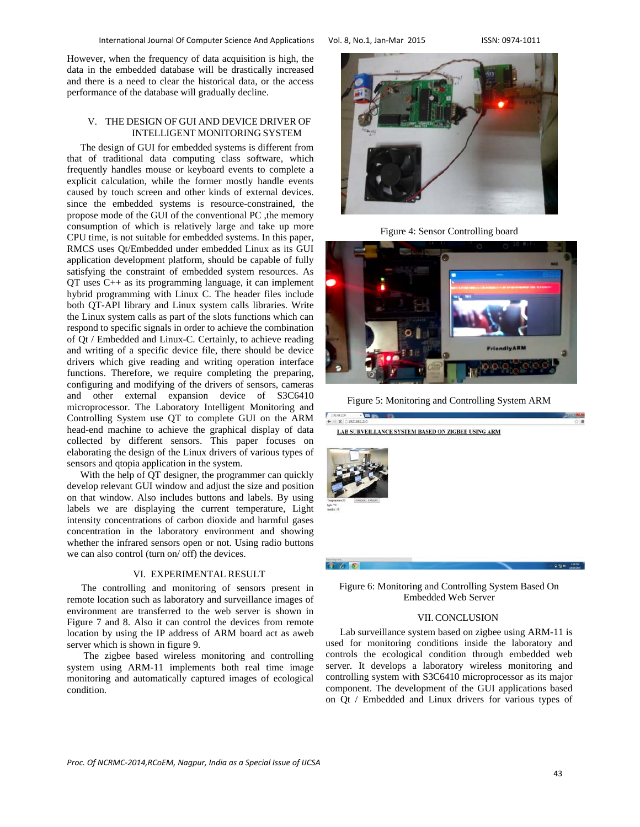However, when the frequency of data acquisition is high, the data in the embedded database will be drastically increased and there is a need to clear the historical data, or the access performance of the database will gradually decline.

# V. THE DESIGN OF GUI AND DEVICE DRIVER OF INTELLIGENT MONITORING SYSTEM

The design of GUI for embedded systems is different from that of traditional data computing class software, which frequently handles mouse or keyboard events to complete a explicit calculation, while the former mostly handle events caused by touch screen and other kinds of external devices. since the embedded systems is resource-constrained, the propose mode of the GUI of the conventional PC ,the memory consumption of which is relatively large and take up more CPU time, is not suitable for embedded systems. In this paper, RMCS uses Qt/Embedded under embedded Linux as its GUI application development platform, should be capable of fully satisfying the constraint of embedded system resources. As QT uses C++ as its programming language, it can implement hybrid programming with Linux C. The header files include both QT-API library and Linux system calls libraries. Write the Linux system calls as part of the slots functions which can respond to specific signals in order to achieve the combination of Qt / Embedded and Linux-C. Certainly, to achieve reading and writing of a specific device file, there should be device drivers which give reading and writing operation interface functions. Therefore, we require completing the preparing, configuring and modifying of the drivers of sensors, cameras and other external expansion device of S3C6410 microprocessor. The Laboratory Intelligent Monitoring and Controlling System use QT to complete GUI on the ARM head-end machine to achieve the graphical display of data collected by different sensors. This paper focuses on elaborating the design of the Linux drivers of various types of sensors and qtopia application in the system.

With the help of QT designer, the programmer can quickly develop relevant GUI window and adjust the size and position on that window. Also includes buttons and labels. By using labels we are displaying the current temperature, Light intensity concentrations of carbon dioxide and harmful gases concentration in the laboratory environment and showing whether the infrared sensors open or not. Using radio buttons we can also control (turn on/ off) the devices.

## VI. EXPERIMENTAL RESULT

The controlling and monitoring of sensors present in remote location such as laboratory and surveillance images of environment are transferred to the web server is shown in Figure 7 and 8. Also it can control the devices from remote location by using the IP address of ARM board act as aweb server which is shown in figure 9.

 The zigbee based wireless monitoring and controlling system using ARM-11 implements both real time image monitoring and automatically captured images of ecological condition.



Figure 4: Sensor Controlling board



Figure 5: Monitoring and Controlling System ARM



Figure 6: Monitoring and Controlling System Based On Embedded Web Server

## VII.CONCLUSION

Lab surveillance system based on zigbee using ARM-11 is used for monitoring conditions inside the laboratory and controls the ecological condition through embedded web server. It develops a laboratory wireless monitoring and controlling system with S3C6410 microprocessor as its major component. The development of the GUI applications based on Qt / Embedded and Linux drivers for various types of